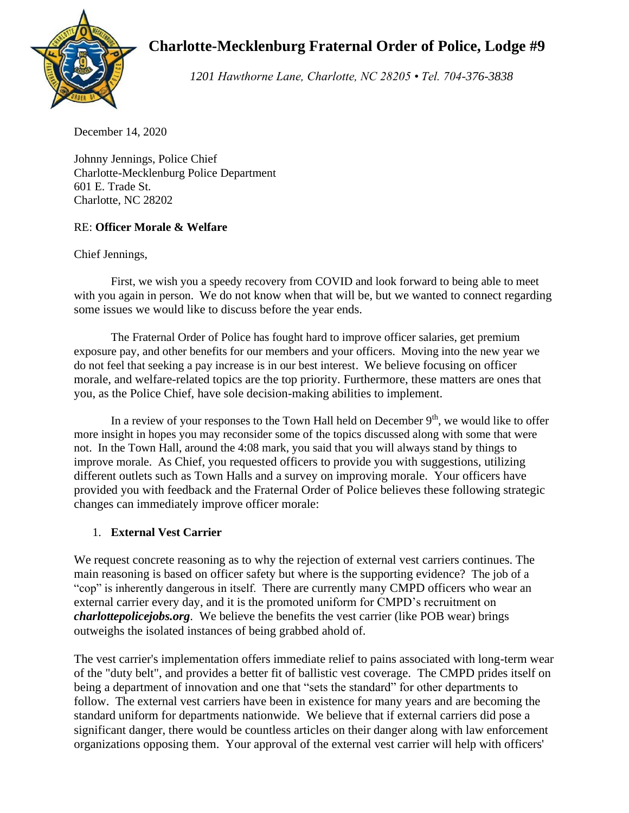

# **Charlotte-Mecklenburg Fraternal Order of Police, Lodge #9**

*1201 Hawthorne Lane, Charlotte, NC 28205 • Tel. 704-376-3838*

December 14, 2020

Johnny Jennings, Police Chief Charlotte-Mecklenburg Police Department 601 E. Trade St. Charlotte, NC 28202

## RE: **Officer Morale & Welfare**

Chief Jennings,

First, we wish you a speedy recovery from COVID and look forward to being able to meet with you again in person. We do not know when that will be, but we wanted to connect regarding some issues we would like to discuss before the year ends.

The Fraternal Order of Police has fought hard to improve officer salaries, get premium exposure pay, and other benefits for our members and your officers. Moving into the new year we do not feel that seeking a pay increase is in our best interest. We believe focusing on officer morale, and welfare-related topics are the top priority. Furthermore, these matters are ones that you, as the Police Chief, have sole decision-making abilities to implement.

In a review of your responses to the Town Hall held on December  $9<sup>th</sup>$ , we would like to offer more insight in hopes you may reconsider some of the topics discussed along with some that were not. In the Town Hall, around the 4:08 mark, you said that you will always stand by things to improve morale. As Chief, you requested officers to provide you with suggestions, utilizing different outlets such as Town Halls and a survey on improving morale. Your officers have provided you with feedback and the Fraternal Order of Police believes these following strategic changes can immediately improve officer morale:

## 1. **External Vest Carrier**

We request concrete reasoning as to why the rejection of external vest carriers continues. The main reasoning is based on officer safety but where is the supporting evidence? The job of a "cop" is inherently dangerous in itself. There are currently many CMPD officers who wear an external carrier every day, and it is the promoted uniform for CMPD's recruitment on *charlottepolicejobs.org*. We believe the benefits the vest carrier (like POB wear) brings outweighs the isolated instances of being grabbed ahold of.

The vest carrier's implementation offers immediate relief to pains associated with long-term wear of the "duty belt", and provides a better fit of ballistic vest coverage. The CMPD prides itself on being a department of innovation and one that "sets the standard" for other departments to follow. The external vest carriers have been in existence for many years and are becoming the standard uniform for departments nationwide. We believe that if external carriers did pose a significant danger, there would be countless articles on their danger along with law enforcement organizations opposing them. Your approval of the external vest carrier will help with officers'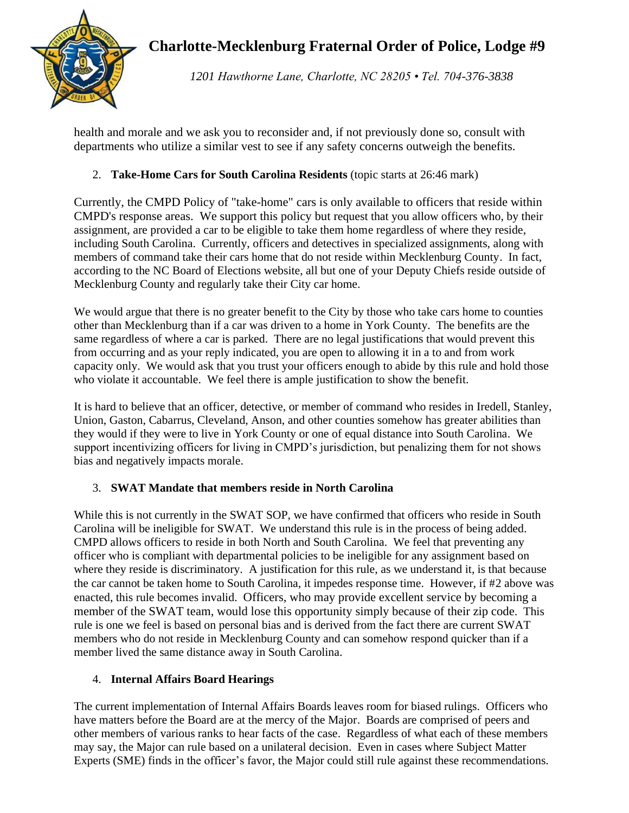# **Charlotte-Mecklenburg Fraternal Order of Police, Lodge #9**



*1201 Hawthorne Lane, Charlotte, NC 28205 • Tel. 704-376-3838*

health and morale and we ask you to reconsider and, if not previously done so, consult with departments who utilize a similar vest to see if any safety concerns outweigh the benefits.

## 2. **Take-Home Cars for South Carolina Residents** (topic starts at 26:46 mark)

Currently, the CMPD Policy of "take-home" cars is only available to officers that reside within CMPD's response areas. We support this policy but request that you allow officers who, by their assignment, are provided a car to be eligible to take them home regardless of where they reside, including South Carolina. Currently, officers and detectives in specialized assignments, along with members of command take their cars home that do not reside within Mecklenburg County. In fact, according to the NC Board of Elections website, all but one of your Deputy Chiefs reside outside of Mecklenburg County and regularly take their City car home.

We would argue that there is no greater benefit to the City by those who take cars home to counties other than Mecklenburg than if a car was driven to a home in York County. The benefits are the same regardless of where a car is parked. There are no legal justifications that would prevent this from occurring and as your reply indicated, you are open to allowing it in a to and from work capacity only. We would ask that you trust your officers enough to abide by this rule and hold those who violate it accountable. We feel there is ample justification to show the benefit.

It is hard to believe that an officer, detective, or member of command who resides in Iredell, Stanley, Union, Gaston, Cabarrus, Cleveland, Anson, and other counties somehow has greater abilities than they would if they were to live in York County or one of equal distance into South Carolina. We support incentivizing officers for living in CMPD's jurisdiction, but penalizing them for not shows bias and negatively impacts morale.

## 3. **SWAT Mandate that members reside in North Carolina**

While this is not currently in the SWAT SOP, we have confirmed that officers who reside in South Carolina will be ineligible for SWAT. We understand this rule is in the process of being added. CMPD allows officers to reside in both North and South Carolina. We feel that preventing any officer who is compliant with departmental policies to be ineligible for any assignment based on where they reside is discriminatory. A justification for this rule, as we understand it, is that because the car cannot be taken home to South Carolina, it impedes response time. However, if #2 above was enacted, this rule becomes invalid. Officers, who may provide excellent service by becoming a member of the SWAT team, would lose this opportunity simply because of their zip code. This rule is one we feel is based on personal bias and is derived from the fact there are current SWAT members who do not reside in Mecklenburg County and can somehow respond quicker than if a member lived the same distance away in South Carolina.

## 4. **Internal Affairs Board Hearings**

The current implementation of Internal Affairs Boards leaves room for biased rulings. Officers who have matters before the Board are at the mercy of the Major. Boards are comprised of peers and other members of various ranks to hear facts of the case. Regardless of what each of these members may say, the Major can rule based on a unilateral decision. Even in cases where Subject Matter Experts (SME) finds in the officer's favor, the Major could still rule against these recommendations.